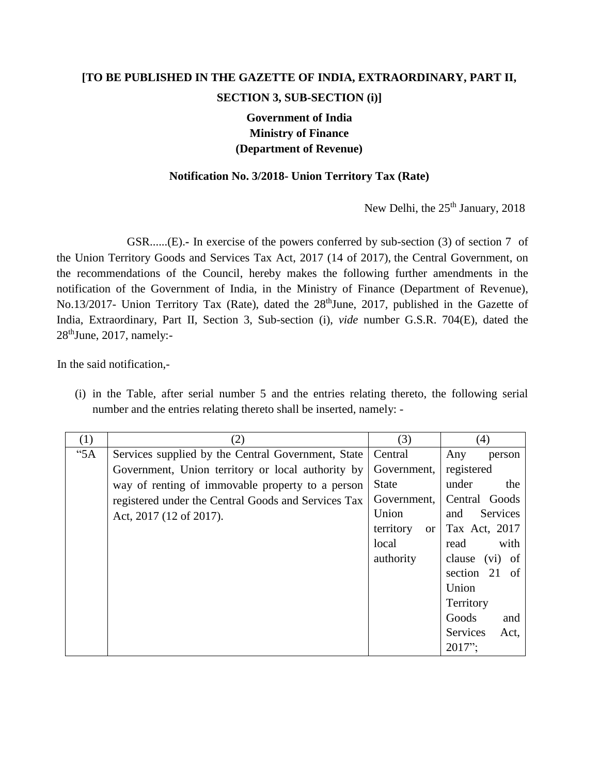## **[TO BE PUBLISHED IN THE GAZETTE OF INDIA, EXTRAORDINARY, PART II, SECTION 3, SUB-SECTION (i)]**

## **Government of India Ministry of Finance (Department of Revenue)**

## **Notification No. 3/2018- Union Territory Tax (Rate)**

New Delhi, the 25<sup>th</sup> January, 2018

GSR......(E).**-** In exercise of the powers conferred by sub-section (3) of section 7 of the Union Territory Goods and Services Tax Act, 2017 (14 of 2017), the Central Government, on the recommendations of the Council, hereby makes the following further amendments in the notification of the Government of India, in the Ministry of Finance (Department of Revenue), No.13/2017- Union Territory Tax (Rate), dated the 28<sup>th</sup>June, 2017, published in the Gazette of India, Extraordinary, Part II, Section 3, Sub-section (i), *vide* number G.S.R. 704(E), dated the  $28<sup>th</sup>$ June, 2017, namely:-

In the said notification,-

(i) in the Table, after serial number 5 and the entries relating thereto, the following serial number and the entries relating thereto shall be inserted, namely: -

| (1) | (2)                                                 | (3)                        | (4)                     |
|-----|-----------------------------------------------------|----------------------------|-------------------------|
| "5A | Services supplied by the Central Government, State  | Central                    | Any<br>person           |
|     | Government, Union territory or local authority by   | Government,                | registered              |
|     | way of renting of immovable property to a person    | <b>State</b>               | under<br>the            |
|     | registered under the Central Goods and Services Tax | Government,                | Central Goods           |
|     | Act, 2017 (12 of 2017).                             | Union                      | Services<br>and         |
|     |                                                     | territory<br><sub>or</sub> | Tax Act, 2017           |
|     |                                                     | local                      | with<br>read            |
|     |                                                     | authority                  | clause (vi) of          |
|     |                                                     |                            | section 21 of           |
|     |                                                     |                            | Union                   |
|     |                                                     |                            | Territory               |
|     |                                                     |                            | Goods<br>and            |
|     |                                                     |                            | <b>Services</b><br>Act, |
|     |                                                     |                            | $2017$ ":               |